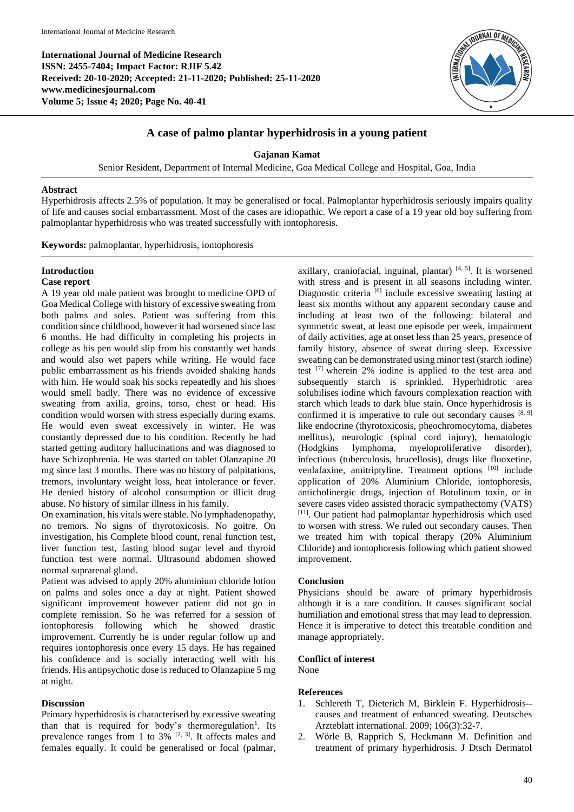**International Journal of Medicine Research ISSN: 2455-7404; Impact Factor: RJIF 5.42 Received: 20-10-2020; Accepted: 21-11-2020; Published: 25-11-2020 www.medicinesjournal.com Volume 5; Issue 4; 2020; Page No. 40-41**



## **A case of palmo plantar hyperhidrosis in a young patient**

**Gajanan Kamat**

Senior Resident, Department of Internal Medicine, Goa Medical College and Hospital, Goa, India

#### **Abstract**

Hyperhidrosis affects 2.5% of population. It may be generalised or focal. Palmoplantar hyperhidrosis seriously impairs quality of life and causes social embarrassment. Most of the cases are idiopathic. We report a case of a 19 year old boy suffering from palmoplantar hyperhidrosis who was treated successfully with iontophoresis.

**Keywords:** palmoplantar, hyperhidrosis, iontophoresis

# **Introduction**

### **Case report**

A 19 year old male patient was brought to medicine OPD of Goa Medical College with history of excessive sweating from both palms and soles. Patient was suffering from this condition since childhood, however it had worsened since last 6 months. He had difficulty in completing his projects in college as his pen would slip from his constantly wet hands and would also wet papers while writing. He would face public embarrassment as his friends avoided shaking hands with him. He would soak his socks repeatedly and his shoes would smell badly. There was no evidence of excessive sweating from axilla, groins, torso, chest or head. His condition would worsen with stress especially during exams. He would even sweat excessively in winter. He was constantly depressed due to his condition. Recently he had started getting auditory hallucinations and was diagnosed to have Schizophrenia. He was started on tablet Olanzapine 20 mg since last 3 months. There was no history of palpitations, tremors, involuntary weight loss, heat intolerance or fever. He denied history of alcohol consumption or illicit drug abuse. No history of similar illness in his family.

On examination, his vitals were stable. No lymphadenopathy, no tremors. No signs of thyrotoxicosis. No goitre. On investigation, his Complete blood count, renal function test, liver function test, fasting blood sugar level and thyroid function test were normal. Ultrasound abdomen showed normal suprarenal gland.

Patient was advised to apply 20% aluminium chloride lotion on palms and soles once a day at night. Patient showed significant improvement however patient did not go in complete remission. So he was referred for a session of iontophoresis following which he showed drastic improvement. Currently he is under regular follow up and requires iontophoresis once every 15 days. He has regained his confidence and is socially interacting well with his friends. His antipsychotic dose is reduced to Olanzapine 5 mg at night.

#### **Discussion**

Primary hyperhidrosis is characterised by excessive sweating than that is required for body's thermoregulation<sup>1</sup>. Its prevalence ranges from 1 to  $3\%$  <sup>[2, 3]</sup>. It affects males and females equally. It could be generalised or focal (palmar,

axillary, craniofacial, inguinal, plantar)  $[4, 5]$ . It is worsened with stress and is present in all seasons including winter. Diagnostic criteria [6] include excessive sweating lasting at least six months without any apparent secondary cause and including at least two of the following: bilateral and symmetric sweat, at least one episode per week, impairment of daily activities, age at onset less than 25 years, presence of family history, absence of sweat during sleep. Excessive sweating can be demonstrated using minor test (starch iodine) test [7] wherein 2% iodine is applied to the test area and subsequently starch is sprinkled. Hyperhidrotic area solubilises iodine which favours complexation reaction with starch which leads to dark blue stain. Once hyperhidrosis is confirmed it is imperative to rule out secondary causes  $[8, 9]$ like endocrine (thyrotoxicosis, pheochromocytoma, diabetes mellitus), neurologic (spinal cord injury), hematologic<br>(Hodgkins lymphoma, myeloproliferative disorder), lymphoma, myeloproliferative disorder), infectious (tuberculosis, brucellosis), drugs like fluoxetine, venlafaxine, amitriptyline. Treatment options [10] include application of 20% Aluminium Chloride, iontophoresis, anticholinergic drugs, injection of Botulinum toxin, or in severe cases video assisted thoracic sympathectomy (VATS) [11]. Our patient had palmoplantar hyperhidrosis which used to worsen with stress. We ruled out secondary causes. Then we treated him with topical therapy (20% Aluminium Chloride) and iontophoresis following which patient showed improvement.

#### **Conclusion**

Physicians should be aware of primary hyperhidrosis although it is a rare condition. It causes significant social humiliation and emotional stress that may lead to depression. Hence it is imperative to detect this treatable condition and manage appropriately.

#### **Conflict of interest**

None

#### **References**

- 1. Schlereth T, Dieterich M, Birklein F. Hyperhidrosis- causes and treatment of enhanced sweating. Deutsches Arzteblatt international. 2009; 106(3):32-7.
- 2. Wörle B, Rapprich S, Heckmann M. Definition and treatment of primary hyperhidrosis. J Dtsch Dermatol